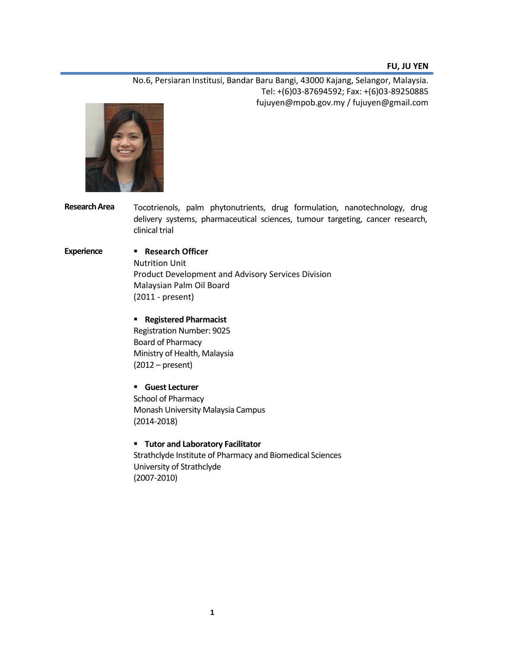#### **FU, JU YEN**

No.6, Persiaran Institusi, Bandar Baru Bangi, 43000 Kajang, Selangor, Malaysia. Tel: +(6)03-87694592; Fax: +(6)03-89250885 fujuyen@mpob.gov.my / fujuyen@gmail.com



**Research Area** Tocotrienols, palm phytonutrients, drug formulation, nanotechnology, drug delivery systems, pharmaceutical sciences, tumour targeting, cancer research, clinical trial

## **Experience Research Officer**

Nutrition Unit Product Development and Advisory Services Division Malaysian Palm Oil Board (2011 - present)

### **Registered Pharmacist**

Registration Number: 9025 Board of Pharmacy Ministry of Health, Malaysia (2012 – present)

 **Guest Lecturer** School of Pharmacy Monash University Malaysia Campus (2014-2018)

# **Tutor and Laboratory Facilitator** Strathclyde Institute of Pharmacy and Biomedical Sciences University of Strathclyde (2007-2010)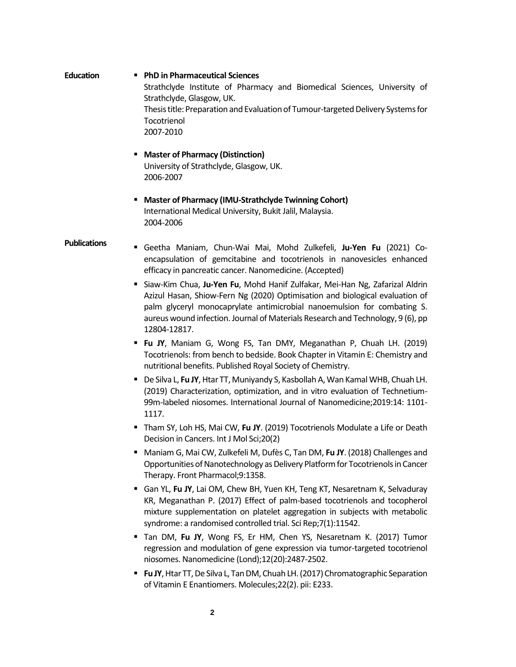**Education PhD in Pharmaceutical Sciences** Strathclyde Institute of Pharmacy and Biomedical Sciences, University of Strathclyde, Glasgow, UK. Thesis title: Preparation and Evaluation of Tumour-targeted Delivery Systems for Tocotrienol 2007-2010

- **Master of Pharmacy (Distinction)** University of Strathclyde, Glasgow, UK. 2006-2007
- **Master of Pharmacy (IMU-Strathclyde Twinning Cohort)** International Medical University, Bukit Jalil, Malaysia. 2004-2006

#### **Publications**

- Geetha Maniam, Chun-Wai Mai, Mohd Zulkefeli, **Ju-Yen Fu** (2021) Coencapsulation of gemcitabine and tocotrienols in nanovesicles enhanced efficacy in pancreatic cancer. Nanomedicine. (Accepted)
- Siaw-Kim Chua, **Ju-Yen Fu**, Mohd Hanif Zulfakar, Mei-Han Ng, Zafarizal Aldrin Azizul Hasan, Shiow-Fern Ng (2020) Optimisation and biological evaluation of palm glyceryl monocaprylate antimicrobial nanoemulsion for combating S. aureus wound infection. Journal of Materials Research and Technology, 9 (6), pp 12804-12817.
- **Fu JY**, Maniam G, Wong FS, Tan DMY, Meganathan P, Chuah LH. (2019) Tocotrienols: from bench to bedside. Book Chapter in Vitamin E: Chemistry and nutritional benefits. Published Royal Society of Chemistry.
- De Silva L, **Fu JY**, Htar TT, Muniyandy S, Kasbollah A, Wan Kamal WHB, Chuah LH. (2019) Characterization, optimization, and in vitro evaluation of Technetium-99m-labeled niosomes. International Journal of Nanomedicine;2019:14: 1101- 1117.
- Tham SY, Loh HS, Mai CW, Fu JY. (2019) Tocotrienols Modulate a Life or Death Decision in Cancers. Int J Mol Sci;20(2)
- Maniam G, Mai CW, Zulkefeli M, Dufès C, Tan DM, **Fu JY**. (2018) Challenges and Opportunities of Nanotechnology as Delivery Platform for Tocotrienols in Cancer Therapy. Front Pharmacol;9:1358.
- Gan YL, **Fu JY**, Lai OM, Chew BH, Yuen KH, Teng KT, Nesaretnam K, Selvaduray KR, Meganathan P. (2017) Effect of palm-based tocotrienols and tocopherol mixture supplementation on platelet aggregation in subjects with metabolic syndrome: a randomised controlled trial. Sci Rep;7(1):11542.
- Tan DM, **Fu JY**, Wong FS, Er HM, Chen YS, Nesaretnam K. (2017) Tumor regression and modulation of gene expression via tumor-targeted tocotrienol niosomes. Nanomedicine (Lond);12(20):2487-2502.
- **Fu JY**, Htar TT, De Silva L, Tan DM, Chuah LH. (2017) Chromatographic Separation of Vitamin E Enantiomers. Molecules;22(2). pii: E233.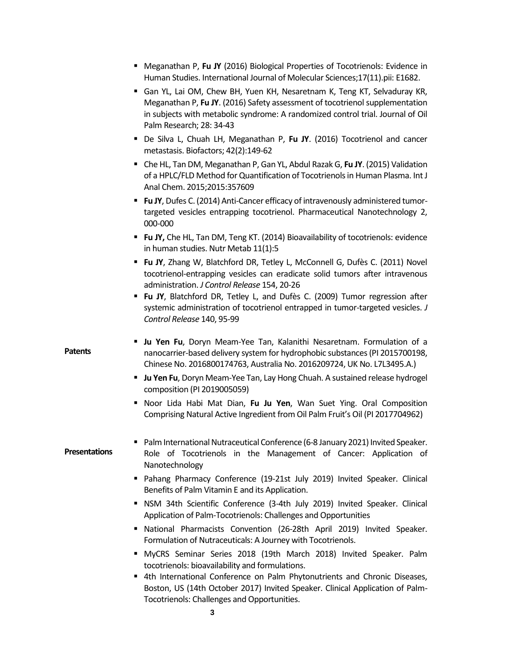|                      | Meganathan P, Fu JY (2016) Biological Properties of Tocotrienols: Evidence in<br>Human Studies. International Journal of Molecular Sciences;17(11).pii: E1682.                                                                                                         |
|----------------------|------------------------------------------------------------------------------------------------------------------------------------------------------------------------------------------------------------------------------------------------------------------------|
|                      | Gan YL, Lai OM, Chew BH, Yuen KH, Nesaretnam K, Teng KT, Selvaduray KR,<br>Meganathan P, Fu JY. (2016) Safety assessment of tocotrienol supplementation<br>in subjects with metabolic syndrome: A randomized control trial. Journal of Oil<br>Palm Research; 28: 34-43 |
|                      | De Silva L, Chuah LH, Meganathan P, Fu JY. (2016) Tocotrienol and cancer<br>metastasis. Biofactors; 42(2):149-62                                                                                                                                                       |
|                      | ■ Che HL, Tan DM, Meganathan P, Gan YL, Abdul Razak G, Fu JY. (2015) Validation<br>of a HPLC/FLD Method for Quantification of Tocotrienols in Human Plasma. Int J<br>Anal Chem. 2015;2015:357609                                                                       |
|                      | <b>Fu JY</b> , Dufes C. (2014) Anti-Cancer efficacy of intravenously administered tumor-<br>targeted vesicles entrapping tocotrienol. Pharmaceutical Nanotechnology 2,<br>000-000                                                                                      |
|                      | <b>Fu JY, Che HL, Tan DM, Teng KT. (2014) Bioavailability of tocotrienols: evidence</b><br>in human studies. Nutr Metab 11(1):5                                                                                                                                        |
|                      | " Fu JY, Zhang W, Blatchford DR, Tetley L, McConnell G, Dufès C. (2011) Novel<br>tocotrienol-entrapping vesicles can eradicate solid tumors after intravenous<br>administration. J Control Release 154, 20-26                                                          |
|                      | " Fu JY, Blatchford DR, Tetley L, and Dufès C. (2009) Tumor regression after<br>systemic administration of tocotrienol entrapped in tumor-targeted vesicles. J<br>Control Release 140, 95-99                                                                           |
| <b>Patents</b>       | <b>Ju Yen Fu</b> , Doryn Meam-Yee Tan, Kalanithi Nesaretnam. Formulation of a<br>nanocarrier-based delivery system for hydrophobic substances (PI 2015700198,<br>Chinese No. 2016800174763, Australia No. 2016209724, UK No. L7L3495.A.)                               |
|                      | <b>U Ju Yen Fu</b> , Doryn Meam-Yee Tan, Lay Hong Chuah. A sustained release hydrogel<br>composition (PI 2019005059)                                                                                                                                                   |
|                      | Noor Lida Habi Mat Dian, Fu Ju Yen, Wan Suet Ying. Oral Composition<br>٠<br>Comprising Natural Active Ingredient from Oil Palm Fruit's Oil (PI 2017704962)                                                                                                             |
| <b>Presentations</b> | Palm International Nutraceutical Conference (6-8 January 2021) Invited Speaker.<br>Role of Tocotrienols in the Management of Cancer: Application of<br>Nanotechnology                                                                                                  |
|                      | Pahang Pharmacy Conference (19-21st July 2019) Invited Speaker. Clinical<br>Benefits of Palm Vitamin E and its Application.                                                                                                                                            |
|                      | NSM 34th Scientific Conference (3-4th July 2019) Invited Speaker. Clinical<br>Application of Palm-Tocotrienols: Challenges and Opportunities                                                                                                                           |
|                      | National Pharmacists Convention (26-28th April 2019) Invited Speaker.<br>Formulation of Nutraceuticals: A Journey with Tocotrienols.                                                                                                                                   |
|                      | " MyCRS Seminar Series 2018 (19th March 2018) Invited Speaker. Palm<br>tocotrienols: bioavailability and formulations.                                                                                                                                                 |
|                      | " 4th International Conference on Palm Phytonutrients and Chronic Diseases,<br>Boston, US (14th October 2017) Invited Speaker. Clinical Application of Palm-<br>Tocotrienols: Challenges and Opportunities.                                                            |
|                      | 3                                                                                                                                                                                                                                                                      |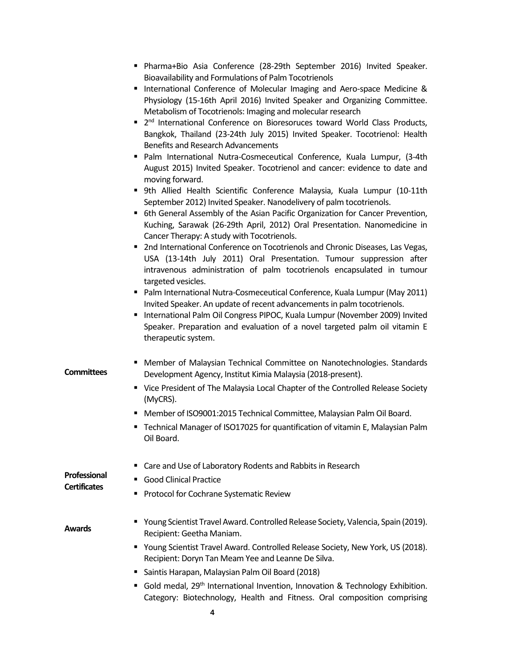- Pharma+Bio Asia Conference (28-29th September 2016) Invited Speaker. Bioavailability and Formulations of Palm Tocotrienols
- International Conference of Molecular Imaging and Aero-space Medicine & Physiology (15-16th April 2016) Invited Speaker and Organizing Committee. Metabolism of Tocotrienols: Imaging and molecular research
- 2<sup>nd</sup> International Conference on Bioresoruces toward World Class Products, Bangkok, Thailand (23-24th July 2015) Invited Speaker. Tocotrienol: Health Benefits and Research Advancements
- Palm International Nutra-Cosmeceutical Conference, Kuala Lumpur, (3-4th August 2015) Invited Speaker. Tocotrienol and cancer: evidence to date and moving forward.
- 9th Allied Health Scientific Conference Malaysia, Kuala Lumpur (10-11th September 2012) Invited Speaker. Nanodelivery of palm tocotrienols.
- 6th General Assembly of the Asian Pacific Organization for Cancer Prevention, Kuching, Sarawak (26-29th April, 2012) Oral Presentation. Nanomedicine in Cancer Therapy: A study with Tocotrienols.
- **2** 2nd International Conference on Tocotrienols and Chronic Diseases, Las Vegas, USA (13-14th July 2011) Oral Presentation. Tumour suppression after intravenous administration of palm tocotrienols encapsulated in tumour targeted vesicles.
- **Palm International Nutra-Cosmeceutical Conference, Kuala Lumpur (May 2011)** Invited Speaker. An update of recent advancements in palm tocotrienols.
- **International Palm Oil Congress PIPOC, Kuala Lumpur (November 2009) Invited** Speaker. Preparation and evaluation of a novel targeted palm oil vitamin E therapeutic system.
- Member of Malaysian Technical Committee on Nanotechnologies. Standards Development Agency, Institut Kimia Malaysia (2018-present).
	- **Vice President of The Malaysia Local Chapter of the Controlled Release Society** (MyCRS).
	- Member of ISO9001:2015 Technical Committee, Malaysian Palm Oil Board.
	- Technical Manager of ISO17025 for quantification of vitamin E, Malaysian Palm Oil Board.

| Professional<br><b>Certificates</b> | ■ Care and Use of Laboratory Rodents and Rabbits in Research                                                                           |
|-------------------------------------|----------------------------------------------------------------------------------------------------------------------------------------|
|                                     | • Good Clinical Practice                                                                                                               |
|                                     | • Protocol for Cochrane Systematic Review                                                                                              |
| <b>Awards</b>                       | ■ Young Scientist Travel Award. Controlled Release Society, Valencia, Spain (2019).<br>Recipient: Geetha Maniam.                       |
|                                     | ■ Young Scientist Travel Award. Controlled Release Society, New York, US (2018).<br>Recipient: Doryn Tan Meam Yee and Leanne De Silva. |
|                                     | • Saintis Harapan, Malaysian Palm Oil Board (2018)                                                                                     |
|                                     | • Gold medal, 29 <sup>th</sup> International Invention, Innovation & Technology Exhibition.                                            |

Category: Biotechnology, Health and Fitness. Oral composition comprising

**Committees**